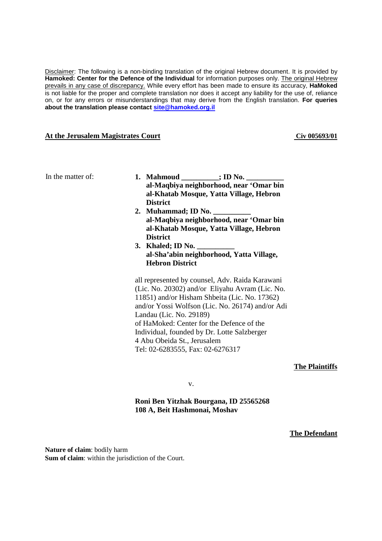Disclaimer: The following is a non-binding translation of the original Hebrew document. It is provided by **Hamoked: Center for the Defence of the Individual** for information purposes only. The original Hebrew prevails in any case of discrepancy. While every effort has been made to ensure its accuracy, **HaMoked** is not liable for the proper and complete translation nor does it accept any liability for the use of, reliance on, or for any errors or misunderstandings that may derive from the English translation. **For queries about the translation please contact site@hamoked.org.il**

#### **At the Jerusalem Magistrates Court** Cives Court Cives **Court** Cives **Court** Cives **Cives Cives Cives Court** Cives **Court** Cives **Court** Cives **Court** Cives **Court** Cives **Court** Cives **Court** Cives **Court** Cives **Co**

| In the matter of: | 1. Mahmoud ________; ID No. ___<br>al-Maqbiya neighborhood, near 'Omar bin<br>al-Khatab Mosque, Yatta Village, Hebron<br><b>District</b>                                                                                                                                                                                                                                                          |
|-------------------|---------------------------------------------------------------------------------------------------------------------------------------------------------------------------------------------------------------------------------------------------------------------------------------------------------------------------------------------------------------------------------------------------|
|                   | 2. Muhammad; ID No.<br>al-Maqbiya neighborhood, near 'Omar bin<br>al-Khatab Mosque, Yatta Village, Hebron<br><b>District</b>                                                                                                                                                                                                                                                                      |
|                   | 3. Khaled; ID No.<br>al-Sha'abin neighborhood, Yatta Village,<br><b>Hebron District</b>                                                                                                                                                                                                                                                                                                           |
|                   | all represented by counsel, Adv. Raida Karawani<br>(Lic. No. 20302) and/or Eliyahu Avram (Lic. No.<br>11851) and/or Hisham Shbeita (Lic. No. 17362)<br>and/or Yossi Wolfson (Lic. No. 26174) and/or Adi<br>Landau (Lic. No. 29189)<br>of HaMoked: Center for the Defence of the<br>Individual, founded by Dr. Lotte Salzberger<br>4 Abu Obeida St., Jerusalem<br>Tel: 02-6283555, Fax: 02-6276317 |

**The Plaintiffs**

v.

**Roni Ben Yitzhak Bourgana, ID 25565268 108 A, Beit Hashmonai, Moshav** 

**The Defendant**

**Nature of claim**: bodily harm **Sum of claim**: within the jurisdiction of the Court.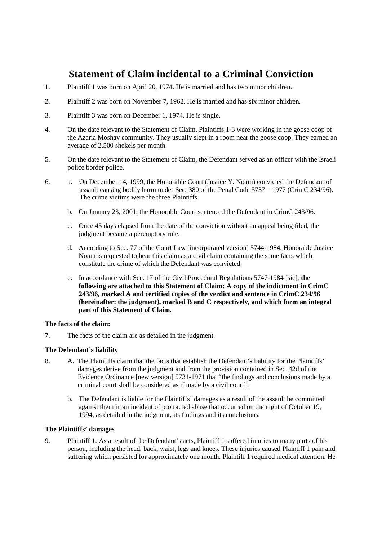# **Statement of Claim incidental to a Criminal Conviction**

- 1. Plaintiff 1 was born on April 20, 1974. He is married and has two minor children.
- 2. Plaintiff 2 was born on November 7, 1962. He is married and has six minor children.
- 3. Plaintiff 3 was born on December 1, 1974. He is single.
- 4. On the date relevant to the Statement of Claim, Plaintiffs 1-3 were working in the goose coop of the Azaria Moshav community. They usually slept in a room near the goose coop. They earned an average of 2,500 shekels per month.
- 5. On the date relevant to the Statement of Claim, the Defendant served as an officer with the Israeli police border police.
- 6. a. On December 14, 1999, the Honorable Court (Justice Y. Noam) convicted the Defendant of assault causing bodily harm under Sec. 380 of the Penal Code 5737 – 1977 (CrimC 234/96). The crime victims were the three Plaintiffs.
	- b. On January 23, 2001, the Honorable Court sentenced the Defendant in CrimC 243/96.
	- c. Once 45 days elapsed from the date of the conviction without an appeal being filed, the judgment became a peremptory rule.
	- d. According to Sec. 77 of the Court Law [incorporated version] 5744-1984, Honorable Justice Noam is requested to hear this claim as a civil claim containing the same facts which constitute the crime of which the Defendant was convicted.
	- e. In accordance with Sec. 17 of the Civil Procedural Regulations 5747-1984 [sic], **the following are attached to this Statement of Claim: A copy of the indictment in CrimC 243/96, marked A and certified copies of the verdict and sentence in CrimC 234/96 (hereinafter: the judgment), marked B and C respectively, and which form an integral part of this Statement of Claim.**

### **The facts of the claim:**

7. The facts of the claim are as detailed in the judgment.

## **The Defendant's liability**

- 8. A. The Plaintiffs claim that the facts that establish the Defendant's liability for the Plaintiffs' damages derive from the judgment and from the provision contained in Sec. 42d of the Evidence Ordinance [new version] 5731-1971 that "the findings and conclusions made by a criminal court shall be considered as if made by a civil court".
	- b. The Defendant is liable for the Plaintiffs' damages as a result of the assault he committed against them in an incident of protracted abuse that occurred on the night of October 19, 1994, as detailed in the judgment, its findings and its conclusions.

### **The Plaintiffs' damages**

9. Plaintiff 1: As a result of the Defendant's acts, Plaintiff 1 suffered injuries to many parts of his person, including the head, back, waist, legs and knees. These injuries caused Plaintiff 1 pain and suffering which persisted for approximately one month. Plaintiff 1 required medical attention. He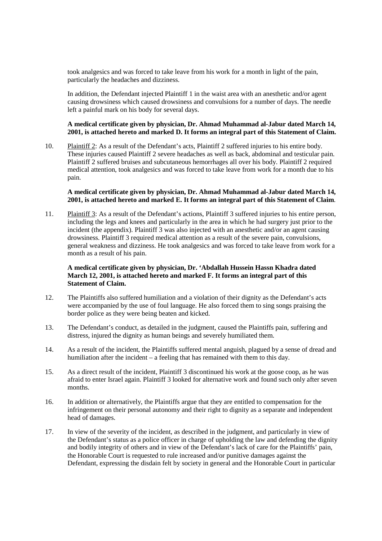took analgesics and was forced to take leave from his work for a month in light of the pain, particularly the headaches and dizziness.

In addition, the Defendant injected Plaintiff 1 in the waist area with an anesthetic and/or agent causing drowsiness which caused drowsiness and convulsions for a number of days. The needle left a painful mark on his body for several days.

#### **A medical certificate given by physician, Dr. Ahmad Muhammad al-Jabur dated March 14, 2001, is attached hereto and marked D. It forms an integral part of this Statement of Claim.**

10. Plaintiff 2: As a result of the Defendant's acts, Plaintiff 2 suffered injuries to his entire body. These injuries caused Plaintiff 2 severe headaches as well as back, abdominal and testicular pain. Plaintiff 2 suffered bruises and subcutaneous hemorrhages all over his body. Plaintiff 2 required medical attention, took analgesics and was forced to take leave from work for a month due to his pain.

#### **A medical certificate given by physician, Dr. Ahmad Muhammad al-Jabur dated March 14, 2001, is attached hereto and marked E. It forms an integral part of this Statement of Claim**.

11. Plaintiff 3: As a result of the Defendant's actions, Plaintiff 3 suffered injuries to his entire person, including the legs and knees and particularly in the area in which he had surgery just prior to the incident (the appendix). Plaintiff 3 was also injected with an anesthetic and/or an agent causing drowsiness. Plaintiff 3 required medical attention as a result of the severe pain, convulsions, general weakness and dizziness. He took analgesics and was forced to take leave from work for a month as a result of his pain.

### **A medical certificate given by physician, Dr. 'Abdallah Hussein Hassn Khadra dated March 12, 2001, is attached hereto and marked F. It forms an integral part of this Statement of Claim.**

- 12. The Plaintiffs also suffered humiliation and a violation of their dignity as the Defendant's acts were accompanied by the use of foul language. He also forced them to sing songs praising the border police as they were being beaten and kicked.
- 13. The Defendant's conduct, as detailed in the judgment, caused the Plaintiffs pain, suffering and distress, injured the dignity as human beings and severely humiliated them.
- 14. As a result of the incident, the Plaintiffs suffered mental anguish, plagued by a sense of dread and humiliation after the incident – a feeling that has remained with them to this day.
- 15. As a direct result of the incident, Plaintiff 3 discontinued his work at the goose coop, as he was afraid to enter Israel again. Plaintiff 3 looked for alternative work and found such only after seven months.
- 16. In addition or alternatively, the Plaintiffs argue that they are entitled to compensation for the infringement on their personal autonomy and their right to dignity as a separate and independent head of damages.
- 17. In view of the severity of the incident, as described in the judgment, and particularly in view of the Defendant's status as a police officer in charge of upholding the law and defending the dignity and bodily integrity of others and in view of the Defendant's lack of care for the Plaintiffs' pain, the Honorable Court is requested to rule increased and/or punitive damages against the Defendant, expressing the disdain felt by society in general and the Honorable Court in particular